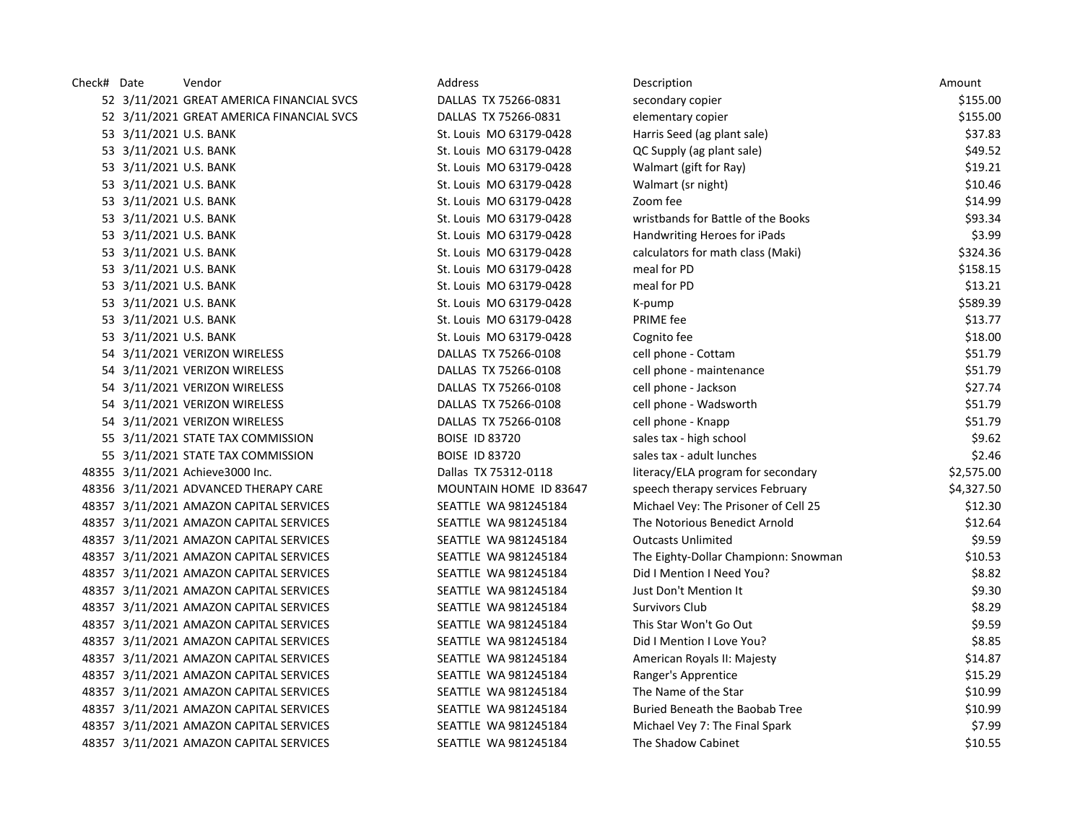| Check# Date |                        | Vendor                                    | Address                 | Description                           | Amount     |
|-------------|------------------------|-------------------------------------------|-------------------------|---------------------------------------|------------|
|             |                        | 52 3/11/2021 GREAT AMERICA FINANCIAL SVCS | DALLAS TX 75266-0831    | secondary copier                      | \$155.00   |
|             |                        | 52 3/11/2021 GREAT AMERICA FINANCIAL SVCS | DALLAS TX 75266-0831    | elementary copier                     | \$155.00   |
|             | 53 3/11/2021 U.S. BANK |                                           | St. Louis MO 63179-0428 | Harris Seed (ag plant sale)           | \$37.83    |
|             | 53 3/11/2021 U.S. BANK |                                           | St. Louis MO 63179-0428 | QC Supply (ag plant sale)             | \$49.52    |
|             | 53 3/11/2021 U.S. BANK |                                           | St. Louis MO 63179-0428 | Walmart (gift for Ray)                | \$19.21    |
|             | 53 3/11/2021 U.S. BANK |                                           | St. Louis MO 63179-0428 | Walmart (sr night)                    | \$10.46    |
|             | 53 3/11/2021 U.S. BANK |                                           | St. Louis MO 63179-0428 | Zoom fee                              | \$14.99    |
|             | 53 3/11/2021 U.S. BANK |                                           | St. Louis MO 63179-0428 | wristbands for Battle of the Books    | \$93.34    |
|             | 53 3/11/2021 U.S. BANK |                                           | St. Louis MO 63179-0428 | Handwriting Heroes for iPads          | \$3.99     |
|             | 53 3/11/2021 U.S. BANK |                                           | St. Louis MO 63179-0428 | calculators for math class (Maki)     | \$324.36   |
|             | 53 3/11/2021 U.S. BANK |                                           | St. Louis MO 63179-0428 | meal for PD                           | \$158.15   |
|             | 53 3/11/2021 U.S. BANK |                                           | St. Louis MO 63179-0428 | meal for PD                           | \$13.21    |
|             | 53 3/11/2021 U.S. BANK |                                           | St. Louis MO 63179-0428 | K-pump                                | \$589.39   |
|             | 53 3/11/2021 U.S. BANK |                                           | St. Louis MO 63179-0428 | PRIME fee                             | \$13.77    |
|             | 53 3/11/2021 U.S. BANK |                                           | St. Louis MO 63179-0428 | Cognito fee                           | \$18.00    |
|             |                        | 54 3/11/2021 VERIZON WIRELESS             | DALLAS TX 75266-0108    | cell phone - Cottam                   | \$51.79    |
|             |                        | 54 3/11/2021 VERIZON WIRELESS             | DALLAS TX 75266-0108    | cell phone - maintenance              | \$51.79    |
|             |                        | 54 3/11/2021 VERIZON WIRELESS             | DALLAS TX 75266-0108    | cell phone - Jackson                  | \$27.74    |
|             |                        | 54 3/11/2021 VERIZON WIRELESS             | DALLAS TX 75266-0108    | cell phone - Wadsworth                | \$51.79    |
|             |                        | 54 3/11/2021 VERIZON WIRELESS             | DALLAS TX 75266-0108    | cell phone - Knapp                    | \$51.79    |
|             |                        | 55 3/11/2021 STATE TAX COMMISSION         | <b>BOISE ID 83720</b>   | sales tax - high school               | \$9.62     |
|             |                        | 55 3/11/2021 STATE TAX COMMISSION         | <b>BOISE ID 83720</b>   | sales tax - adult lunches             | \$2.46     |
|             |                        | 48355 3/11/2021 Achieve3000 Inc.          | Dallas TX 75312-0118    | literacy/ELA program for secondary    | \$2,575.00 |
|             |                        | 48356 3/11/2021 ADVANCED THERAPY CARE     | MOUNTAIN HOME ID 83647  | speech therapy services February      | \$4,327.50 |
|             |                        | 48357 3/11/2021 AMAZON CAPITAL SERVICES   | SEATTLE WA 981245184    | Michael Vey: The Prisoner of Cell 25  | \$12.30    |
|             |                        | 48357 3/11/2021 AMAZON CAPITAL SERVICES   | SEATTLE WA 981245184    | The Notorious Benedict Arnold         | \$12.64    |
|             |                        | 48357 3/11/2021 AMAZON CAPITAL SERVICES   | SEATTLE WA 981245184    | <b>Outcasts Unlimited</b>             | \$9.59     |
|             |                        | 48357 3/11/2021 AMAZON CAPITAL SERVICES   | SEATTLE WA 981245184    | The Eighty-Dollar Championn: Snowman  | \$10.53    |
|             |                        | 48357 3/11/2021 AMAZON CAPITAL SERVICES   | SEATTLE WA 981245184    | Did I Mention I Need You?             | \$8.82     |
|             |                        | 48357 3/11/2021 AMAZON CAPITAL SERVICES   | SEATTLE WA 981245184    | Just Don't Mention It                 | \$9.30     |
|             |                        | 48357 3/11/2021 AMAZON CAPITAL SERVICES   | SEATTLE WA 981245184    | Survivors Club                        | \$8.29     |
|             |                        | 48357 3/11/2021 AMAZON CAPITAL SERVICES   | SEATTLE WA 981245184    | This Star Won't Go Out                | \$9.59     |
|             |                        | 48357 3/11/2021 AMAZON CAPITAL SERVICES   | SEATTLE WA 981245184    | Did I Mention I Love You?             | \$8.85     |
|             |                        | 48357 3/11/2021 AMAZON CAPITAL SERVICES   | SEATTLE WA 981245184    | American Royals II: Majesty           | \$14.87    |
|             |                        | 48357 3/11/2021 AMAZON CAPITAL SERVICES   | SEATTLE WA 981245184    | Ranger's Apprentice                   | \$15.29    |
|             |                        | 48357 3/11/2021 AMAZON CAPITAL SERVICES   | SEATTLE WA 981245184    | The Name of the Star                  | \$10.99    |
|             |                        | 48357 3/11/2021 AMAZON CAPITAL SERVICES   | SEATTLE WA 981245184    | <b>Buried Beneath the Baobab Tree</b> | \$10.99    |
|             |                        | 48357 3/11/2021 AMAZON CAPITAL SERVICES   | SEATTLE WA 981245184    | Michael Vey 7: The Final Spark        | \$7.99     |
|             |                        | 48357 3/11/2021 AMAZON CAPITAL SERVICES   | SEATTLE WA 981245184    | The Shadow Cabinet                    | \$10.55    |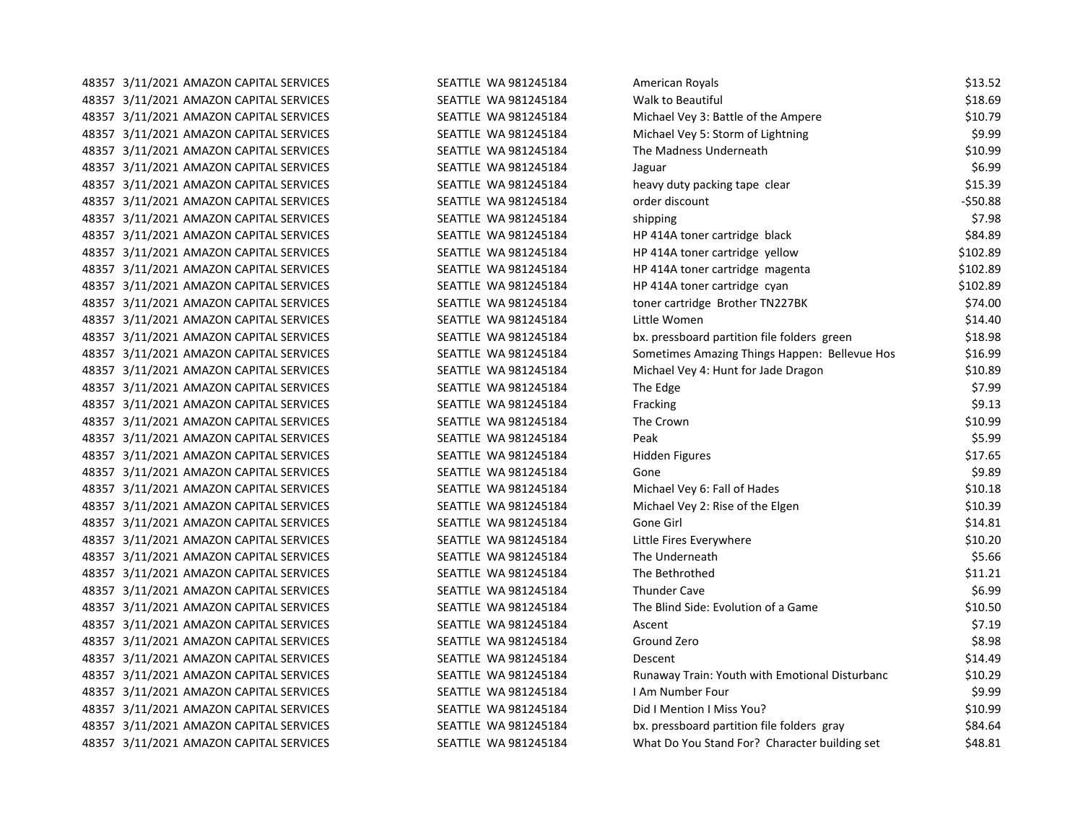| 48357 3/11/2021 AMAZON CAPITAL SERVICES | SEATTLE WA 981245184 | American Royals                                | \$13.52   |
|-----------------------------------------|----------------------|------------------------------------------------|-----------|
| 48357 3/11/2021 AMAZON CAPITAL SERVICES | SEATTLE WA 981245184 | <b>Walk to Beautiful</b>                       | \$18.69   |
| 48357 3/11/2021 AMAZON CAPITAL SERVICES | SEATTLE WA 981245184 | Michael Vey 3: Battle of the Ampere            | \$10.79   |
| 48357 3/11/2021 AMAZON CAPITAL SERVICES | SEATTLE WA 981245184 | Michael Vey 5: Storm of Lightning              | \$9.99    |
| 48357 3/11/2021 AMAZON CAPITAL SERVICES | SEATTLE WA 981245184 | The Madness Underneath                         | \$10.99   |
| 48357 3/11/2021 AMAZON CAPITAL SERVICES | SEATTLE WA 981245184 | Jaguar                                         | \$6.99    |
| 48357 3/11/2021 AMAZON CAPITAL SERVICES | SEATTLE WA 981245184 | heavy duty packing tape clear                  | \$15.39   |
| 48357 3/11/2021 AMAZON CAPITAL SERVICES | SEATTLE WA 981245184 | order discount                                 | $-550.88$ |
| 48357 3/11/2021 AMAZON CAPITAL SERVICES | SEATTLE WA 981245184 | shipping                                       | \$7.98    |
| 48357 3/11/2021 AMAZON CAPITAL SERVICES | SEATTLE WA 981245184 | HP 414A toner cartridge black                  | \$84.89   |
| 48357 3/11/2021 AMAZON CAPITAL SERVICES | SEATTLE WA 981245184 | HP 414A toner cartridge yellow                 | \$102.89  |
| 48357 3/11/2021 AMAZON CAPITAL SERVICES | SEATTLE WA 981245184 | HP 414A toner cartridge magenta                | \$102.89  |
| 48357 3/11/2021 AMAZON CAPITAL SERVICES | SEATTLE WA 981245184 | HP 414A toner cartridge cyan                   | \$102.89  |
| 48357 3/11/2021 AMAZON CAPITAL SERVICES | SEATTLE WA 981245184 | toner cartridge Brother TN227BK                | \$74.00   |
| 48357 3/11/2021 AMAZON CAPITAL SERVICES | SEATTLE WA 981245184 | Little Women                                   | \$14.40   |
| 48357 3/11/2021 AMAZON CAPITAL SERVICES | SEATTLE WA 981245184 | bx. pressboard partition file folders green    | \$18.98   |
| 48357 3/11/2021 AMAZON CAPITAL SERVICES | SEATTLE WA 981245184 | Sometimes Amazing Things Happen: Bellevue Hos  | \$16.99   |
| 48357 3/11/2021 AMAZON CAPITAL SERVICES | SEATTLE WA 981245184 | Michael Vey 4: Hunt for Jade Dragon            | \$10.89   |
| 48357 3/11/2021 AMAZON CAPITAL SERVICES | SEATTLE WA 981245184 | The Edge                                       | \$7.99    |
| 48357 3/11/2021 AMAZON CAPITAL SERVICES | SEATTLE WA 981245184 | Fracking                                       | \$9.13    |
| 48357 3/11/2021 AMAZON CAPITAL SERVICES | SEATTLE WA 981245184 | The Crown                                      | \$10.99   |
| 48357 3/11/2021 AMAZON CAPITAL SERVICES | SEATTLE WA 981245184 | Peak                                           | \$5.99    |
| 48357 3/11/2021 AMAZON CAPITAL SERVICES | SEATTLE WA 981245184 | <b>Hidden Figures</b>                          | \$17.65   |
| 48357 3/11/2021 AMAZON CAPITAL SERVICES | SEATTLE WA 981245184 | Gone                                           | \$9.89    |
| 48357 3/11/2021 AMAZON CAPITAL SERVICES | SEATTLE WA 981245184 | Michael Vey 6: Fall of Hades                   | \$10.18   |
| 48357 3/11/2021 AMAZON CAPITAL SERVICES | SEATTLE WA 981245184 | Michael Vey 2: Rise of the Elgen               | \$10.39   |
| 48357 3/11/2021 AMAZON CAPITAL SERVICES | SEATTLE WA 981245184 | Gone Girl                                      | \$14.81   |
| 48357 3/11/2021 AMAZON CAPITAL SERVICES | SEATTLE WA 981245184 | Little Fires Everywhere                        | \$10.20   |
| 48357 3/11/2021 AMAZON CAPITAL SERVICES | SEATTLE WA 981245184 | The Underneath                                 | \$5.66    |
| 48357 3/11/2021 AMAZON CAPITAL SERVICES | SEATTLE WA 981245184 | The Bethrothed                                 | \$11.21   |
| 48357 3/11/2021 AMAZON CAPITAL SERVICES | SEATTLE WA 981245184 | <b>Thunder Cave</b>                            | \$6.99    |
| 48357 3/11/2021 AMAZON CAPITAL SERVICES | SEATTLE WA 981245184 | The Blind Side: Evolution of a Game            | \$10.50   |
| 48357 3/11/2021 AMAZON CAPITAL SERVICES | SEATTLE WA 981245184 | Ascent                                         | \$7.19    |
| 48357 3/11/2021 AMAZON CAPITAL SERVICES | SEATTLE WA 981245184 | Ground Zero                                    | \$8.98    |
| 48357 3/11/2021 AMAZON CAPITAL SERVICES | SEATTLE WA 981245184 | Descent                                        | \$14.49   |
| 48357 3/11/2021 AMAZON CAPITAL SERVICES | SEATTLE WA 981245184 | Runaway Train: Youth with Emotional Disturbanc | \$10.29   |
| 48357 3/11/2021 AMAZON CAPITAL SERVICES | SEATTLE WA 981245184 | I Am Number Four                               | \$9.99    |
| 48357 3/11/2021 AMAZON CAPITAL SERVICES | SEATTLE WA 981245184 | Did I Mention I Miss You?                      | \$10.99   |
| 48357 3/11/2021 AMAZON CAPITAL SERVICES | SEATTLE WA 981245184 | bx. pressboard partition file folders gray     | \$84.64   |
| 48357 3/11/2021 AMAZON CAPITAL SERVICES | SEATTLE WA 981245184 | What Do You Stand For? Character building set  | \$48.81   |
|                                         |                      |                                                |           |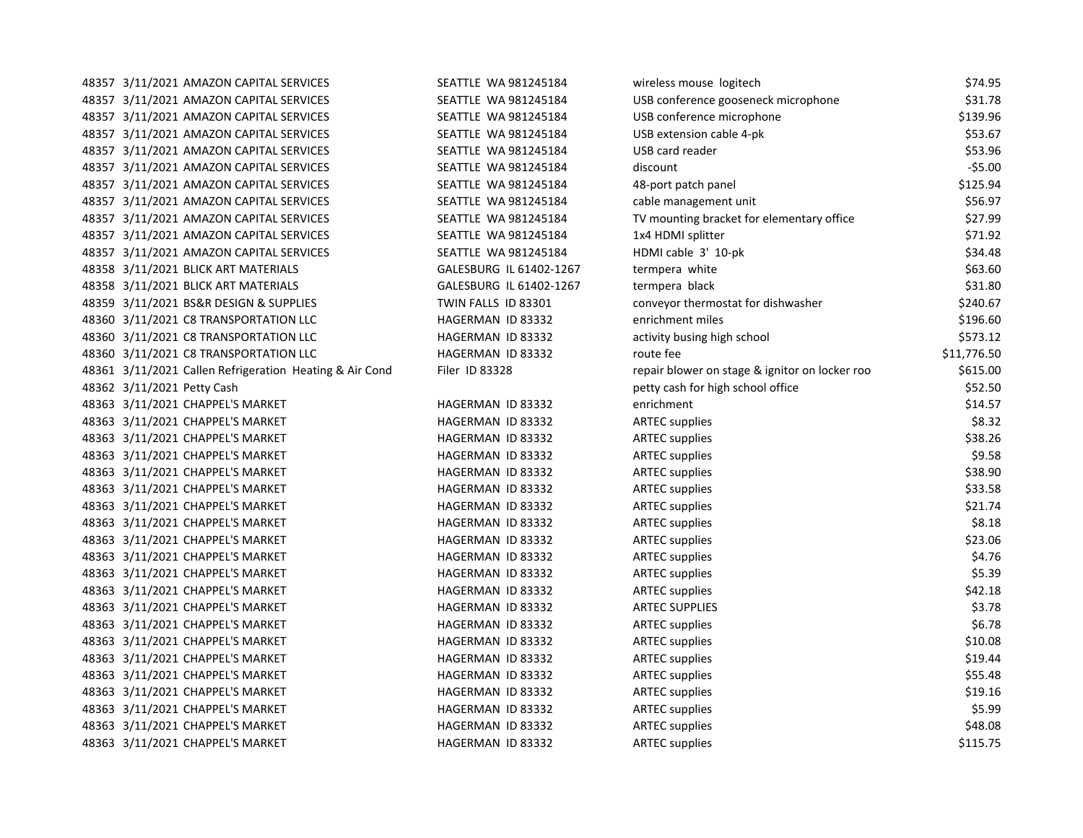| SEATTLE WA 981245184                                                                                                                                                                                                                                                                                                                                                                                                                                                                                                                                                                                                                                                                                                                                                                                                                                                                                                                                                                                                                                                                                                                                                                                                                                                                                                                                                                                                                                                                                                                                                                                                  | wireless mouse logitech                        | \$74.95     |
|-----------------------------------------------------------------------------------------------------------------------------------------------------------------------------------------------------------------------------------------------------------------------------------------------------------------------------------------------------------------------------------------------------------------------------------------------------------------------------------------------------------------------------------------------------------------------------------------------------------------------------------------------------------------------------------------------------------------------------------------------------------------------------------------------------------------------------------------------------------------------------------------------------------------------------------------------------------------------------------------------------------------------------------------------------------------------------------------------------------------------------------------------------------------------------------------------------------------------------------------------------------------------------------------------------------------------------------------------------------------------------------------------------------------------------------------------------------------------------------------------------------------------------------------------------------------------------------------------------------------------|------------------------------------------------|-------------|
| SEATTLE WA 981245184                                                                                                                                                                                                                                                                                                                                                                                                                                                                                                                                                                                                                                                                                                                                                                                                                                                                                                                                                                                                                                                                                                                                                                                                                                                                                                                                                                                                                                                                                                                                                                                                  | USB conference gooseneck microphone            | \$31.78     |
| SEATTLE WA 981245184                                                                                                                                                                                                                                                                                                                                                                                                                                                                                                                                                                                                                                                                                                                                                                                                                                                                                                                                                                                                                                                                                                                                                                                                                                                                                                                                                                                                                                                                                                                                                                                                  | USB conference microphone                      | \$139.96    |
| SEATTLE WA 981245184                                                                                                                                                                                                                                                                                                                                                                                                                                                                                                                                                                                                                                                                                                                                                                                                                                                                                                                                                                                                                                                                                                                                                                                                                                                                                                                                                                                                                                                                                                                                                                                                  | USB extension cable 4-pk                       | \$53.67     |
| SEATTLE WA 981245184                                                                                                                                                                                                                                                                                                                                                                                                                                                                                                                                                                                                                                                                                                                                                                                                                                                                                                                                                                                                                                                                                                                                                                                                                                                                                                                                                                                                                                                                                                                                                                                                  | USB card reader                                | \$53.96     |
| SEATTLE WA 981245184                                                                                                                                                                                                                                                                                                                                                                                                                                                                                                                                                                                                                                                                                                                                                                                                                                                                                                                                                                                                                                                                                                                                                                                                                                                                                                                                                                                                                                                                                                                                                                                                  | discount                                       | $-55.00$    |
| SEATTLE WA 981245184                                                                                                                                                                                                                                                                                                                                                                                                                                                                                                                                                                                                                                                                                                                                                                                                                                                                                                                                                                                                                                                                                                                                                                                                                                                                                                                                                                                                                                                                                                                                                                                                  | 48-port patch panel                            | \$125.94    |
| SEATTLE WA 981245184                                                                                                                                                                                                                                                                                                                                                                                                                                                                                                                                                                                                                                                                                                                                                                                                                                                                                                                                                                                                                                                                                                                                                                                                                                                                                                                                                                                                                                                                                                                                                                                                  | cable management unit                          | \$56.97     |
| SEATTLE WA 981245184                                                                                                                                                                                                                                                                                                                                                                                                                                                                                                                                                                                                                                                                                                                                                                                                                                                                                                                                                                                                                                                                                                                                                                                                                                                                                                                                                                                                                                                                                                                                                                                                  | TV mounting bracket for elementary office      | \$27.99     |
| SEATTLE WA 981245184                                                                                                                                                                                                                                                                                                                                                                                                                                                                                                                                                                                                                                                                                                                                                                                                                                                                                                                                                                                                                                                                                                                                                                                                                                                                                                                                                                                                                                                                                                                                                                                                  | 1x4 HDMI splitter                              | \$71.92     |
| SEATTLE WA 981245184                                                                                                                                                                                                                                                                                                                                                                                                                                                                                                                                                                                                                                                                                                                                                                                                                                                                                                                                                                                                                                                                                                                                                                                                                                                                                                                                                                                                                                                                                                                                                                                                  | HDMI cable 3' 10-pk                            | \$34.48     |
| GALESBURG IL 61402-1267                                                                                                                                                                                                                                                                                                                                                                                                                                                                                                                                                                                                                                                                                                                                                                                                                                                                                                                                                                                                                                                                                                                                                                                                                                                                                                                                                                                                                                                                                                                                                                                               | termpera white                                 | \$63.60     |
| GALESBURG IL 61402-1267                                                                                                                                                                                                                                                                                                                                                                                                                                                                                                                                                                                                                                                                                                                                                                                                                                                                                                                                                                                                                                                                                                                                                                                                                                                                                                                                                                                                                                                                                                                                                                                               | termpera black                                 | \$31.80     |
| TWIN FALLS ID 83301                                                                                                                                                                                                                                                                                                                                                                                                                                                                                                                                                                                                                                                                                                                                                                                                                                                                                                                                                                                                                                                                                                                                                                                                                                                                                                                                                                                                                                                                                                                                                                                                   | conveyor thermostat for dishwasher             | \$240.67    |
| HAGERMAN ID 83332                                                                                                                                                                                                                                                                                                                                                                                                                                                                                                                                                                                                                                                                                                                                                                                                                                                                                                                                                                                                                                                                                                                                                                                                                                                                                                                                                                                                                                                                                                                                                                                                     | enrichment miles                               | \$196.60    |
| HAGERMAN ID 83332                                                                                                                                                                                                                                                                                                                                                                                                                                                                                                                                                                                                                                                                                                                                                                                                                                                                                                                                                                                                                                                                                                                                                                                                                                                                                                                                                                                                                                                                                                                                                                                                     | activity busing high school                    | \$573.12    |
| HAGERMAN ID 83332                                                                                                                                                                                                                                                                                                                                                                                                                                                                                                                                                                                                                                                                                                                                                                                                                                                                                                                                                                                                                                                                                                                                                                                                                                                                                                                                                                                                                                                                                                                                                                                                     | route fee                                      | \$11,776.50 |
| Filer ID 83328                                                                                                                                                                                                                                                                                                                                                                                                                                                                                                                                                                                                                                                                                                                                                                                                                                                                                                                                                                                                                                                                                                                                                                                                                                                                                                                                                                                                                                                                                                                                                                                                        | repair blower on stage & ignitor on locker roo | \$615.00    |
|                                                                                                                                                                                                                                                                                                                                                                                                                                                                                                                                                                                                                                                                                                                                                                                                                                                                                                                                                                                                                                                                                                                                                                                                                                                                                                                                                                                                                                                                                                                                                                                                                       | petty cash for high school office              | \$52.50     |
| HAGERMAN ID 83332                                                                                                                                                                                                                                                                                                                                                                                                                                                                                                                                                                                                                                                                                                                                                                                                                                                                                                                                                                                                                                                                                                                                                                                                                                                                                                                                                                                                                                                                                                                                                                                                     | enrichment                                     | \$14.57     |
| HAGERMAN ID 83332                                                                                                                                                                                                                                                                                                                                                                                                                                                                                                                                                                                                                                                                                                                                                                                                                                                                                                                                                                                                                                                                                                                                                                                                                                                                                                                                                                                                                                                                                                                                                                                                     | <b>ARTEC supplies</b>                          | \$8.32      |
| HAGERMAN ID 83332                                                                                                                                                                                                                                                                                                                                                                                                                                                                                                                                                                                                                                                                                                                                                                                                                                                                                                                                                                                                                                                                                                                                                                                                                                                                                                                                                                                                                                                                                                                                                                                                     | <b>ARTEC supplies</b>                          | \$38.26     |
| HAGERMAN ID 83332                                                                                                                                                                                                                                                                                                                                                                                                                                                                                                                                                                                                                                                                                                                                                                                                                                                                                                                                                                                                                                                                                                                                                                                                                                                                                                                                                                                                                                                                                                                                                                                                     | <b>ARTEC</b> supplies                          | \$9.58      |
| HAGERMAN ID 83332                                                                                                                                                                                                                                                                                                                                                                                                                                                                                                                                                                                                                                                                                                                                                                                                                                                                                                                                                                                                                                                                                                                                                                                                                                                                                                                                                                                                                                                                                                                                                                                                     | <b>ARTEC</b> supplies                          | \$38.90     |
| HAGERMAN ID 83332                                                                                                                                                                                                                                                                                                                                                                                                                                                                                                                                                                                                                                                                                                                                                                                                                                                                                                                                                                                                                                                                                                                                                                                                                                                                                                                                                                                                                                                                                                                                                                                                     | <b>ARTEC supplies</b>                          | \$33.58     |
| HAGERMAN ID 83332                                                                                                                                                                                                                                                                                                                                                                                                                                                                                                                                                                                                                                                                                                                                                                                                                                                                                                                                                                                                                                                                                                                                                                                                                                                                                                                                                                                                                                                                                                                                                                                                     | <b>ARTEC supplies</b>                          | \$21.74     |
| HAGERMAN ID 83332                                                                                                                                                                                                                                                                                                                                                                                                                                                                                                                                                                                                                                                                                                                                                                                                                                                                                                                                                                                                                                                                                                                                                                                                                                                                                                                                                                                                                                                                                                                                                                                                     | <b>ARTEC supplies</b>                          | \$8.18      |
| HAGERMAN ID 83332                                                                                                                                                                                                                                                                                                                                                                                                                                                                                                                                                                                                                                                                                                                                                                                                                                                                                                                                                                                                                                                                                                                                                                                                                                                                                                                                                                                                                                                                                                                                                                                                     | <b>ARTEC supplies</b>                          | \$23.06     |
| HAGERMAN ID 83332                                                                                                                                                                                                                                                                                                                                                                                                                                                                                                                                                                                                                                                                                                                                                                                                                                                                                                                                                                                                                                                                                                                                                                                                                                                                                                                                                                                                                                                                                                                                                                                                     | <b>ARTEC supplies</b>                          | \$4.76      |
| HAGERMAN ID 83332                                                                                                                                                                                                                                                                                                                                                                                                                                                                                                                                                                                                                                                                                                                                                                                                                                                                                                                                                                                                                                                                                                                                                                                                                                                                                                                                                                                                                                                                                                                                                                                                     | <b>ARTEC supplies</b>                          | \$5.39      |
| HAGERMAN ID 83332                                                                                                                                                                                                                                                                                                                                                                                                                                                                                                                                                                                                                                                                                                                                                                                                                                                                                                                                                                                                                                                                                                                                                                                                                                                                                                                                                                                                                                                                                                                                                                                                     | <b>ARTEC supplies</b>                          | \$42.18     |
| HAGERMAN ID 83332                                                                                                                                                                                                                                                                                                                                                                                                                                                                                                                                                                                                                                                                                                                                                                                                                                                                                                                                                                                                                                                                                                                                                                                                                                                                                                                                                                                                                                                                                                                                                                                                     | <b>ARTEC SUPPLIES</b>                          | \$3.78      |
| HAGERMAN ID 83332                                                                                                                                                                                                                                                                                                                                                                                                                                                                                                                                                                                                                                                                                                                                                                                                                                                                                                                                                                                                                                                                                                                                                                                                                                                                                                                                                                                                                                                                                                                                                                                                     | <b>ARTEC supplies</b>                          | \$6.78      |
| HAGERMAN ID 83332                                                                                                                                                                                                                                                                                                                                                                                                                                                                                                                                                                                                                                                                                                                                                                                                                                                                                                                                                                                                                                                                                                                                                                                                                                                                                                                                                                                                                                                                                                                                                                                                     | <b>ARTEC supplies</b>                          | \$10.08     |
| HAGERMAN ID 83332                                                                                                                                                                                                                                                                                                                                                                                                                                                                                                                                                                                                                                                                                                                                                                                                                                                                                                                                                                                                                                                                                                                                                                                                                                                                                                                                                                                                                                                                                                                                                                                                     | <b>ARTEC supplies</b>                          | \$19.44     |
| HAGERMAN ID 83332                                                                                                                                                                                                                                                                                                                                                                                                                                                                                                                                                                                                                                                                                                                                                                                                                                                                                                                                                                                                                                                                                                                                                                                                                                                                                                                                                                                                                                                                                                                                                                                                     | <b>ARTEC supplies</b>                          | \$55.48     |
| HAGERMAN ID 83332                                                                                                                                                                                                                                                                                                                                                                                                                                                                                                                                                                                                                                                                                                                                                                                                                                                                                                                                                                                                                                                                                                                                                                                                                                                                                                                                                                                                                                                                                                                                                                                                     | <b>ARTEC supplies</b>                          | \$19.16     |
| HAGERMAN ID 83332                                                                                                                                                                                                                                                                                                                                                                                                                                                                                                                                                                                                                                                                                                                                                                                                                                                                                                                                                                                                                                                                                                                                                                                                                                                                                                                                                                                                                                                                                                                                                                                                     | <b>ARTEC</b> supplies                          | \$5.99      |
| HAGERMAN ID 83332                                                                                                                                                                                                                                                                                                                                                                                                                                                                                                                                                                                                                                                                                                                                                                                                                                                                                                                                                                                                                                                                                                                                                                                                                                                                                                                                                                                                                                                                                                                                                                                                     | <b>ARTEC supplies</b>                          | \$48.08     |
| HAGERMAN ID 83332                                                                                                                                                                                                                                                                                                                                                                                                                                                                                                                                                                                                                                                                                                                                                                                                                                                                                                                                                                                                                                                                                                                                                                                                                                                                                                                                                                                                                                                                                                                                                                                                     | <b>ARTEC supplies</b>                          | \$115.75    |
| 48357 3/11/2021 AMAZON CAPITAL SERVICES<br>48357 3/11/2021 AMAZON CAPITAL SERVICES<br>48357 3/11/2021 AMAZON CAPITAL SERVICES<br>48357 3/11/2021 AMAZON CAPITAL SERVICES<br>48357 3/11/2021 AMAZON CAPITAL SERVICES<br>48357 3/11/2021 AMAZON CAPITAL SERVICES<br>48357 3/11/2021 AMAZON CAPITAL SERVICES<br>48357 3/11/2021 AMAZON CAPITAL SERVICES<br>48357 3/11/2021 AMAZON CAPITAL SERVICES<br>48357 3/11/2021 AMAZON CAPITAL SERVICES<br>48357 3/11/2021 AMAZON CAPITAL SERVICES<br>48358 3/11/2021 BLICK ART MATERIALS<br>48358 3/11/2021 BLICK ART MATERIALS<br>48359 3/11/2021 BS&R DESIGN & SUPPLIES<br>48360 3/11/2021 C8 TRANSPORTATION LLC<br>48360 3/11/2021 C8 TRANSPORTATION LLC<br>48360 3/11/2021 C8 TRANSPORTATION LLC<br>48361 3/11/2021 Callen Refrigeration Heating & Air Cond<br>48362 3/11/2021 Petty Cash<br>48363 3/11/2021 CHAPPEL'S MARKET<br>48363 3/11/2021 CHAPPEL'S MARKET<br>48363 3/11/2021 CHAPPEL'S MARKET<br>48363 3/11/2021 CHAPPEL'S MARKET<br>48363 3/11/2021 CHAPPEL'S MARKET<br>48363 3/11/2021 CHAPPEL'S MARKET<br>48363 3/11/2021 CHAPPEL'S MARKET<br>48363 3/11/2021 CHAPPEL'S MARKET<br>48363 3/11/2021 CHAPPEL'S MARKET<br>48363 3/11/2021 CHAPPEL'S MARKET<br>48363 3/11/2021 CHAPPEL'S MARKET<br>48363 3/11/2021 CHAPPEL'S MARKET<br>48363 3/11/2021 CHAPPEL'S MARKET<br>48363 3/11/2021 CHAPPEL'S MARKET<br>48363 3/11/2021 CHAPPEL'S MARKET<br>48363 3/11/2021 CHAPPEL'S MARKET<br>48363 3/11/2021 CHAPPEL'S MARKET<br>48363 3/11/2021 CHAPPEL'S MARKET<br>48363 3/11/2021 CHAPPEL'S MARKET<br>48363 3/11/2021 CHAPPEL'S MARKET<br>48363 3/11/2021 CHAPPEL'S MARKET |                                                |             |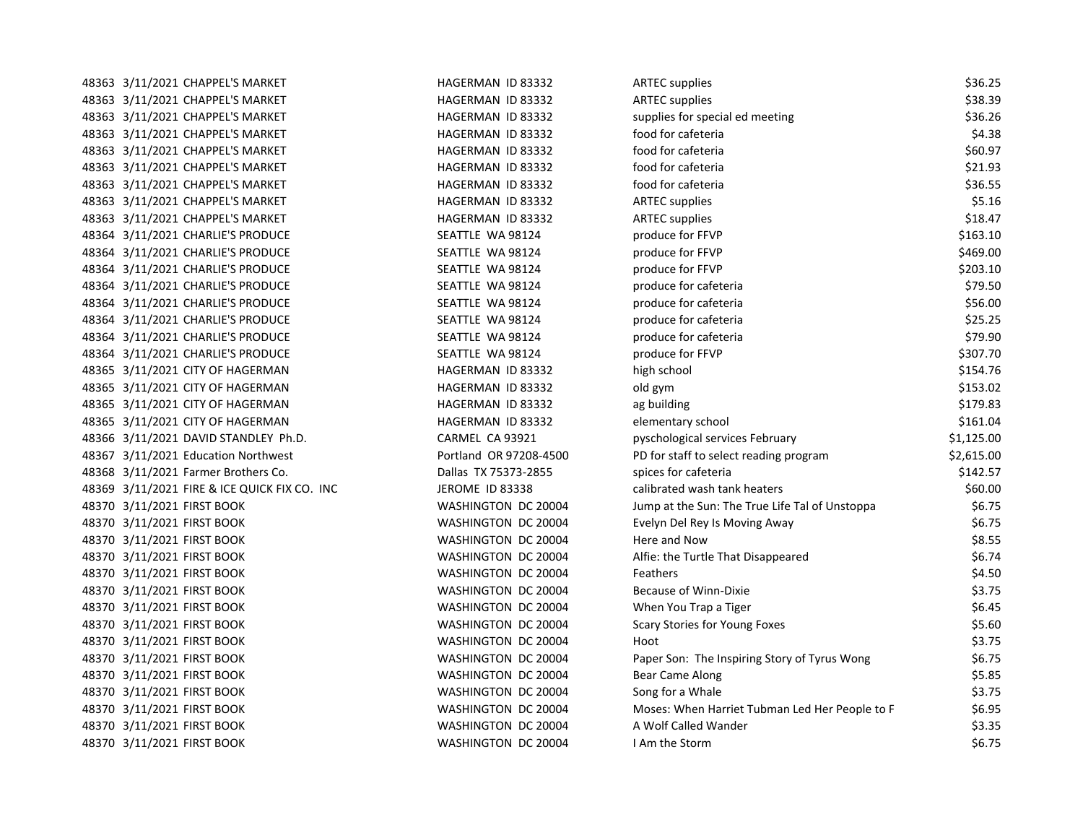| 48363 3/11/2021 CHAPPEL'S MARKET             | HAGERMAN ID 83332      | <b>ARTEC supplies</b>                          | \$36.25    |
|----------------------------------------------|------------------------|------------------------------------------------|------------|
| 48363 3/11/2021 CHAPPEL'S MARKET             | HAGERMAN ID 83332      | <b>ARTEC</b> supplies                          | \$38.39    |
| 48363 3/11/2021 CHAPPEL'S MARKET             | HAGERMAN ID 83332      | supplies for special ed meeting                | \$36.26    |
| 48363 3/11/2021 CHAPPEL'S MARKET             | HAGERMAN ID 83332      | food for cafeteria                             | \$4.38     |
| 48363 3/11/2021 CHAPPEL'S MARKET             | HAGERMAN ID 83332      | food for cafeteria                             | \$60.97    |
| 48363 3/11/2021 CHAPPEL'S MARKET             | HAGERMAN ID 83332      | food for cafeteria                             | \$21.93    |
| 48363 3/11/2021 CHAPPEL'S MARKET             | HAGERMAN ID 83332      | food for cafeteria                             | \$36.55    |
| 48363 3/11/2021 CHAPPEL'S MARKET             | HAGERMAN ID 83332      | <b>ARTEC supplies</b>                          | \$5.16     |
| 48363 3/11/2021 CHAPPEL'S MARKET             | HAGERMAN ID 83332      | <b>ARTEC supplies</b>                          | \$18.47    |
| 48364 3/11/2021 CHARLIE'S PRODUCE            | SEATTLE WA 98124       | produce for FFVP                               | \$163.10   |
| 48364 3/11/2021 CHARLIE'S PRODUCE            | SEATTLE WA 98124       | produce for FFVP                               | \$469.00   |
| 48364 3/11/2021 CHARLIE'S PRODUCE            | SEATTLE WA 98124       | produce for FFVP                               | \$203.10   |
| 48364 3/11/2021 CHARLIE'S PRODUCE            | SEATTLE WA 98124       | produce for cafeteria                          | \$79.50    |
| 48364 3/11/2021 CHARLIE'S PRODUCE            | SEATTLE WA 98124       | produce for cafeteria                          | \$56.00    |
| 48364 3/11/2021 CHARLIE'S PRODUCE            | SEATTLE WA 98124       | produce for cafeteria                          | \$25.25    |
| 48364 3/11/2021 CHARLIE'S PRODUCE            | SEATTLE WA 98124       | produce for cafeteria                          | \$79.90    |
| 48364 3/11/2021 CHARLIE'S PRODUCE            | SEATTLE WA 98124       | produce for FFVP                               | \$307.70   |
| 48365 3/11/2021 CITY OF HAGERMAN             | HAGERMAN ID 83332      | high school                                    | \$154.76   |
| 48365 3/11/2021 CITY OF HAGERMAN             | HAGERMAN ID 83332      | old gym                                        | \$153.02   |
| 48365 3/11/2021 CITY OF HAGERMAN             | HAGERMAN ID 83332      | ag building                                    | \$179.83   |
| 48365 3/11/2021 CITY OF HAGERMAN             | HAGERMAN ID 83332      | elementary school                              | \$161.04   |
| 48366 3/11/2021 DAVID STANDLEY Ph.D.         | CARMEL CA 93921        | pyschological services February                | \$1,125.00 |
| 48367 3/11/2021 Education Northwest          | Portland OR 97208-4500 | PD for staff to select reading program         | \$2,615.00 |
| 48368 3/11/2021 Farmer Brothers Co.          | Dallas TX 75373-2855   | spices for cafeteria                           | \$142.57   |
| 48369 3/11/2021 FIRE & ICE QUICK FIX CO. INC | JEROME ID 83338        | calibrated wash tank heaters                   | \$60.00    |
| 48370 3/11/2021 FIRST BOOK                   | WASHINGTON DC 20004    | Jump at the Sun: The True Life Tal of Unstoppa | \$6.75     |
| 48370 3/11/2021 FIRST BOOK                   | WASHINGTON DC 20004    | Evelyn Del Rey Is Moving Away                  | \$6.75     |
| 48370 3/11/2021 FIRST BOOK                   | WASHINGTON DC 20004    | Here and Now                                   | \$8.55     |
| 48370 3/11/2021 FIRST BOOK                   | WASHINGTON DC 20004    | Alfie: the Turtle That Disappeared             | \$6.74     |
| 48370 3/11/2021 FIRST BOOK                   | WASHINGTON DC 20004    | Feathers                                       | \$4.50     |
| 48370 3/11/2021 FIRST BOOK                   | WASHINGTON DC 20004    | Because of Winn-Dixie                          | \$3.75     |
| 48370 3/11/2021 FIRST BOOK                   | WASHINGTON DC 20004    | When You Trap a Tiger                          | \$6.45     |
| 48370 3/11/2021 FIRST BOOK                   | WASHINGTON DC 20004    | Scary Stories for Young Foxes                  | \$5.60     |
| 48370 3/11/2021 FIRST BOOK                   | WASHINGTON DC 20004    | Hoot                                           | \$3.75     |
| 48370 3/11/2021 FIRST BOOK                   | WASHINGTON DC 20004    | Paper Son: The Inspiring Story of Tyrus Wong   | \$6.75     |
| 48370 3/11/2021 FIRST BOOK                   | WASHINGTON DC 20004    | Bear Came Along                                | \$5.85     |
| 48370 3/11/2021 FIRST BOOK                   | WASHINGTON DC 20004    | Song for a Whale                               | \$3.75     |
| 48370 3/11/2021 FIRST BOOK                   | WASHINGTON DC 20004    | Moses: When Harriet Tubman Led Her People to F | \$6.95     |
| 48370 3/11/2021 FIRST BOOK                   | WASHINGTON DC 20004    | A Wolf Called Wander                           | \$3.35     |
| 48370 3/11/2021 FIRST BOOK                   | WASHINGTON DC 20004    | I Am the Storm                                 | \$6.75     |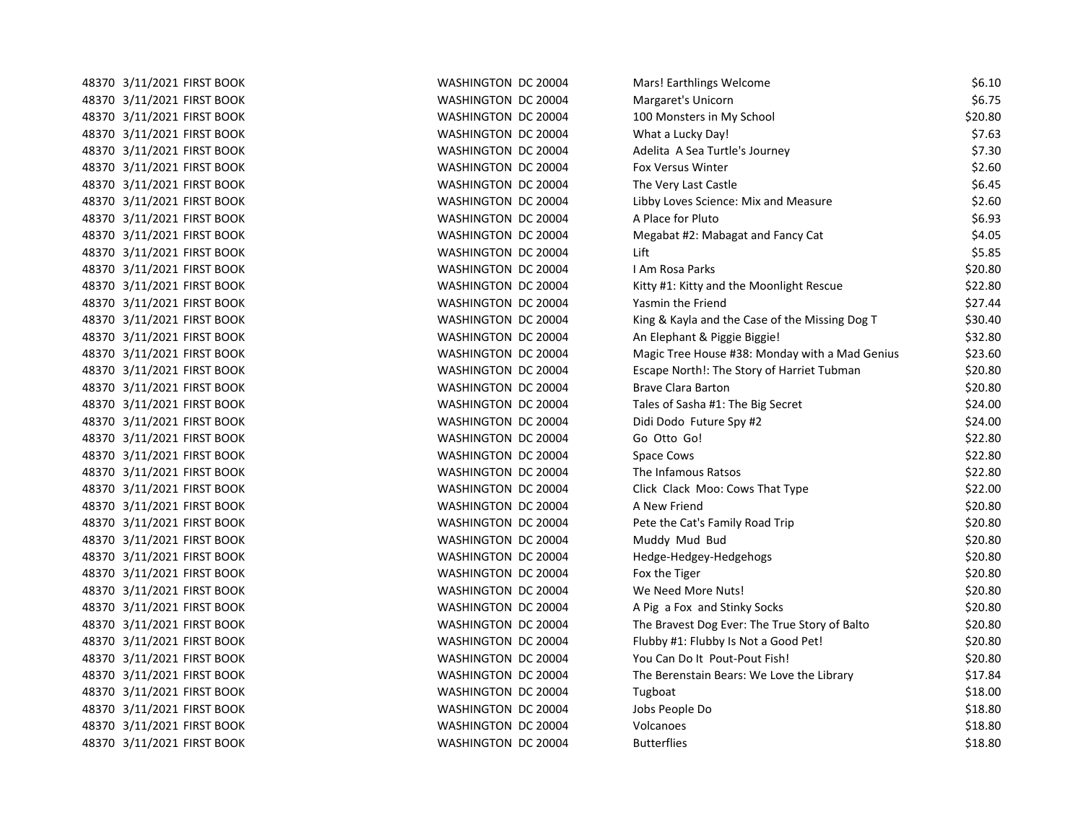48370 3/11/2021 FIRST BOOK WASHINGTON DC 20004 M 48370 3/11/2021 FIRST BOOK WASHINGTON DC 20004 MARGARETY 48370 3/11/2021 FIRST BOOK WASHINGTON DC 20004 100 MONSTERS IN MY SCHOOL 300 MONSTERS IN MY SCHOOL 30 48370 3/11/2021 FIRST BOOK WASHINGTON DC 20004 N 48370 3/11/2021 FIRST BOOK WASHINGTON DC 20004 Adelita A Sea Turtle's A Sea Turtle's A Sea Turtle's A Sea Tur 48370 3/11/2021 FIRST BOOK **WASHINGTON DC 20004** F 48370 3/11/2021 FIRST BOOK WASHINGTON DC 20004 The Very Last Castle & Very Last Castle & Gas Castle & Castle & 48370 3/11/2021 FIRST BOOK WASHINGTON DC 20004 48370 3/11/2021 FIRST BOOK WASHINGTON DC 20004 48370 3/11/2021 FIRST BOOK WASHINGTON DC 20004 M 48370 3/11/2021 FIRST BOOK WASHINGTON DC 20004 48370 3/11/2021 FIRST BOOK WASHINGTON DC 20004 48370 3/11/2021 FIRST BOOK WASHINGTON DC 20004 48370 3/11/2021 FIRST BOOK WASHINGTON DC 20004 48370 3/11/2021 FIRST BOOK KING BOOK WASHINGTON DC 20004 KING BOOK 48370 3/11/2021 FIRST BOOK WASHINGTON DC 20004 48370 3/11/2021 FIRST BOOK WASHINGTON DC 20004 MAGHING HOUSE #38: MONDAY MAGHINGTON DC 20004 48370 3/11/2021 FIRST BOOK **Escape II CONTENT STORY OF HARRIST** STORY OF HARRIST STORY OF HARRIST TUBE TUBE TUB 48370 3/11/2021 FIRST BOOK BRAVE CLARA BRAVE CLARA BRAVE CLARA BRAVE CLARA BRAVE CLARA BRAVE CLARA B 48370 3/11/2021 FIRST BOOK TALES OF SASHINGTON DC 20004 TALES OF SASHING SASHA ENGINEERS OF SASHA ISSUED & THE BIG SECRET \$1: THE BIG SECRET \$24.000 FILE SECRET \$24.000 FILE SECRET \$34.000 FILE SECRET \$34.000 FILE SECRET \$ 48370 3/11/2021 FIRST BOOK Didi Domain DOD WASHINGTON DC 20004 Didi Domain Domain Domain Domain Domain Domain D 48370 3/11/2021 FIRST BOOK WASHINGTON DC 20004 GO OTTO GO OTTO GO OTTO GO OTTO GO OTTO GO OTTO GO OTTO GO OTTO 48370 3/11/2021 FIRST BOOK WASHINGTON DC 20004 S 48370 3/11/2021 FIRST BOOK WASHINGTON DC 20004 The Infamous Ratsos \$22.80 48370 3/11/2021 FIRST BOOK WASHINGTON DC 20004 C 48370 3/11/2021 FIRST BOOK WASHINGTON DC 20004 A NEW FRIEND \$20.800 A NEW FRIEND \$20.800 A NEW FRIEND \$20.800 A 48370 3/11/2021 FIRST BOOK **WASHINGTON DC 20004** Peter the Category Road Trip \$20.800 Peter the Category Road T 48370 3/11/2021 FIRST BOOK WASHINGTON DC 20004 MUDDLE 48370 3/11/2021 FIRST BOOK WASHINGTON DC 20004 48370 3/11/2021 FIRST BOOK THE TIGER THE TIGER WASHINGTON DC 20004 FOR THE TIGER & THE TIGER & TIGER & TIGER & 48370 3/11/2021 FIRST BOOK WASHINGTON DC 20004 N 48370 3/11/2021 FIRST BOOK WASHINGTON DC 20004 A PIG A PIG A PIG A PIG A PIG A PIG A PIG A PIG A PIG A PIG A P 48370 3/11/2021 FIRST BOOK The Bravest Dog Every: The Bravest Dog Bravest Dog Bravest Dog Every: The True Stor 48370 3/11/2021 FIRST BOOK THE RESOURD THE SERVICE OF STREET AND THE STREET BOOK THE STREET AND THE STREET AND 48370 3/11/2021 FIRST BOOK WASHINGTON DC 20004 YOU CAN DO IT POUT-POUT FISH IN POUT-POUT-POUT FISH IN POUT-POU 48370 3/11/2021 FIRST BOOK WASHINGTON DC 20004 The Berenstain Bears: We Love the Library \$17.84 48370 3/11/2021 FIRST BOOK WASHINGTON DC 20004 1 48370 3/11/2021 FIRST BOOK JOBS PEOPLE DO \$18.81 WASHINGTON DC 20004 48370 3/11/2021 FIRST BOOK WASHINGTON DC 20004 VOLCANOES SHOWS 48370 3/11/2021 FIRST BOOK BUTTER ISSUED TO MASHINGTON DC 20004 BUTTER

| Mars! Earthlings Welcome                          | \$6.10  |
|---------------------------------------------------|---------|
| Margaret's Unicorn                                | \$6.75  |
| 100 Monsters in My School                         | \$20.80 |
| <b>Nhat a Lucky Day!</b>                          | \$7.63  |
| Adelita A Sea Turtle's Journey                    | \$7.30  |
| ox Versus Winter                                  | \$2.60  |
| The Very Last Castle                              | \$6.45  |
| ibby Loves Science: Mix and Measure               | \$2.60  |
| A Place for Pluto                                 | \$6.93  |
| Megabat #2: Mabagat and Fancy Cat                 | \$4.05  |
| .ift                                              | \$5.85  |
| Am Rosa Parks                                     | \$20.80 |
| (itty #1: Kitty and the Moonlight Rescue          | \$22.80 |
| asmin the Friend                                  | \$27.44 |
| (ing & Kayla and the Case of the Missing Dog T    | \$30.40 |
| An Elephant & Piggie Biggie!                      | \$32.80 |
| Magic Tree House #38: Monday with a Mad Genius    | \$23.60 |
| <b>Escape North!: The Story of Harriet Tubman</b> | \$20.80 |
| Brave Clara Barton                                | \$20.80 |
| Tales of Sasha #1: The Big Secret                 | \$24.00 |
| Didi Dodo Future Spy #2                           | \$24.00 |
| Go Otto Go!                                       | \$22.80 |
| Space Cows                                        | \$22.80 |
| The Infamous Ratsos                               | \$22.80 |
| Click Clack Moo: Cows That Type                   | \$22.00 |
| A New Friend                                      | \$20.80 |
| Pete the Cat's Family Road Trip                   | \$20.80 |
| Muddy Mud Bud                                     | \$20.80 |
| Hedge-Hedgey-Hedgehogs                            | \$20.80 |
| ox the Tiger                                      | \$20.80 |
| Ne Need More Nuts!                                | \$20.80 |
| Pig a Fox and Stinky Socks                        | \$20.80 |
| The Bravest Dog Ever: The True Story of Balto     | \$20.80 |
| lubby #1: Flubby Is Not a Good Pet!               | \$20.80 |
| 'ou Can Do It Pout-Pout Fish!                     | \$20.80 |
| The Berenstain Bears: We Love the Library         | \$17.84 |
| Tugboat                                           | \$18.00 |
| obs People Do                                     | \$18.80 |
| /olcanoes                                         | \$18.80 |
| Butterflies                                       | \$18.80 |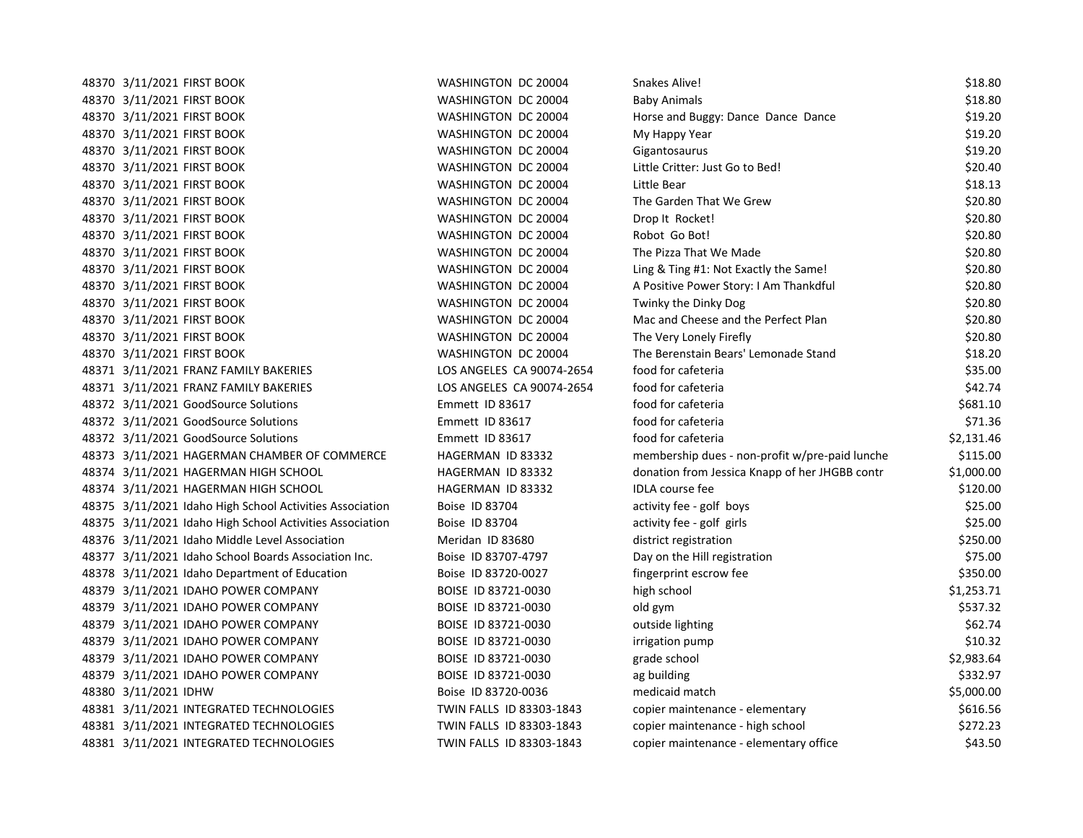| 48370 3/11/2021 FIRST BOOK                               | WASHINGTON DC 20004       | Snakes Alive!                                  | \$18.80    |
|----------------------------------------------------------|---------------------------|------------------------------------------------|------------|
| 48370 3/11/2021 FIRST BOOK                               | WASHINGTON DC 20004       | <b>Baby Animals</b>                            | \$18.80    |
| 48370 3/11/2021 FIRST BOOK                               | WASHINGTON DC 20004       | Horse and Buggy: Dance Dance Dance             | \$19.20    |
| 48370 3/11/2021 FIRST BOOK                               | WASHINGTON DC 20004       | My Happy Year                                  | \$19.20    |
| 48370 3/11/2021 FIRST BOOK                               | WASHINGTON DC 20004       | Gigantosaurus                                  | \$19.20    |
| 48370 3/11/2021 FIRST BOOK                               | WASHINGTON DC 20004       | Little Critter: Just Go to Bed!                | \$20.40    |
| 48370 3/11/2021 FIRST BOOK                               | WASHINGTON DC 20004       | Little Bear                                    | \$18.13    |
| 48370 3/11/2021 FIRST BOOK                               | WASHINGTON DC 20004       | The Garden That We Grew                        | \$20.80    |
| 48370 3/11/2021 FIRST BOOK                               | WASHINGTON DC 20004       | Drop It Rocket!                                | \$20.80    |
| 48370 3/11/2021 FIRST BOOK                               | WASHINGTON DC 20004       | Robot Go Bot!                                  | \$20.80    |
| 48370 3/11/2021 FIRST BOOK                               | WASHINGTON DC 20004       | The Pizza That We Made                         | \$20.80    |
| 48370 3/11/2021 FIRST BOOK                               | WASHINGTON DC 20004       | Ling & Ting #1: Not Exactly the Same!          | \$20.80    |
| 48370 3/11/2021 FIRST BOOK                               | WASHINGTON DC 20004       | A Positive Power Story: I Am Thankdful         | \$20.80    |
| 48370 3/11/2021 FIRST BOOK                               | WASHINGTON DC 20004       | Twinky the Dinky Dog                           | \$20.80    |
| 48370 3/11/2021 FIRST BOOK                               | WASHINGTON DC 20004       | Mac and Cheese and the Perfect Plan            | \$20.80    |
| 48370 3/11/2021 FIRST BOOK                               | WASHINGTON DC 20004       | The Very Lonely Firefly                        | \$20.80    |
| 48370 3/11/2021 FIRST BOOK                               | WASHINGTON DC 20004       | The Berenstain Bears' Lemonade Stand           | \$18.20    |
| 48371 3/11/2021 FRANZ FAMILY BAKERIES                    | LOS ANGELES CA 90074-2654 | food for cafeteria                             | \$35.00    |
| 48371 3/11/2021 FRANZ FAMILY BAKERIES                    | LOS ANGELES CA 90074-2654 | food for cafeteria                             | \$42.74    |
| 48372 3/11/2021 GoodSource Solutions                     | Emmett ID 83617           | food for cafeteria                             | \$681.10   |
| 48372 3/11/2021 GoodSource Solutions                     | Emmett ID 83617           | food for cafeteria                             | \$71.36    |
| 48372 3/11/2021 GoodSource Solutions                     | Emmett ID 83617           | food for cafeteria                             | \$2,131.46 |
| 48373 3/11/2021 HAGERMAN CHAMBER OF COMMERCE             | HAGERMAN ID 83332         | membership dues - non-profit w/pre-paid lunche | \$115.00   |
| 48374 3/11/2021 HAGERMAN HIGH SCHOOL                     | HAGERMAN ID 83332         | donation from Jessica Knapp of her JHGBB contr | \$1,000.00 |
| 48374 3/11/2021 HAGERMAN HIGH SCHOOL                     | HAGERMAN ID 83332         | <b>IDLA</b> course fee                         | \$120.00   |
| 48375 3/11/2021 Idaho High School Activities Association | Boise ID 83704            | activity fee - golf boys                       | \$25.00    |
| 48375 3/11/2021 Idaho High School Activities Association | Boise ID 83704            | activity fee - golf girls                      | \$25.00    |
| 48376 3/11/2021 Idaho Middle Level Association           | Meridan ID 83680          | district registration                          | \$250.00   |
| 48377 3/11/2021 Idaho School Boards Association Inc.     | Boise ID 83707-4797       | Day on the Hill registration                   | \$75.00    |
| 48378 3/11/2021 Idaho Department of Education            | Boise ID 83720-0027       | fingerprint escrow fee                         | \$350.00   |
| 48379 3/11/2021 IDAHO POWER COMPANY                      | BOISE ID 83721-0030       | high school                                    | \$1,253.71 |
| 48379 3/11/2021 IDAHO POWER COMPANY                      | BOISE ID 83721-0030       | old gym                                        | \$537.32   |
| 48379 3/11/2021 IDAHO POWER COMPANY                      | BOISE ID 83721-0030       | outside lighting                               | \$62.74    |
| 48379 3/11/2021 IDAHO POWER COMPANY                      | BOISE ID 83721-0030       | irrigation pump                                | \$10.32    |
| 48379 3/11/2021 IDAHO POWER COMPANY                      | BOISE ID 83721-0030       | grade school                                   | \$2,983.64 |
| 48379 3/11/2021 IDAHO POWER COMPANY                      | BOISE ID 83721-0030       | ag building                                    | \$332.97   |
| 48380 3/11/2021 IDHW                                     | Boise ID 83720-0036       | medicaid match                                 | \$5,000.00 |
| 48381 3/11/2021 INTEGRATED TECHNOLOGIES                  | TWIN FALLS ID 83303-1843  | copier maintenance - elementary                | \$616.56   |
| 48381 3/11/2021 INTEGRATED TECHNOLOGIES                  | TWIN FALLS ID 83303-1843  | copier maintenance - high school               | \$272.23   |
| 48381 3/11/2021 INTEGRATED TECHNOLOGIES                  | TWIN FALLS ID 83303-1843  | copier maintenance - elementary office         | \$43.50    |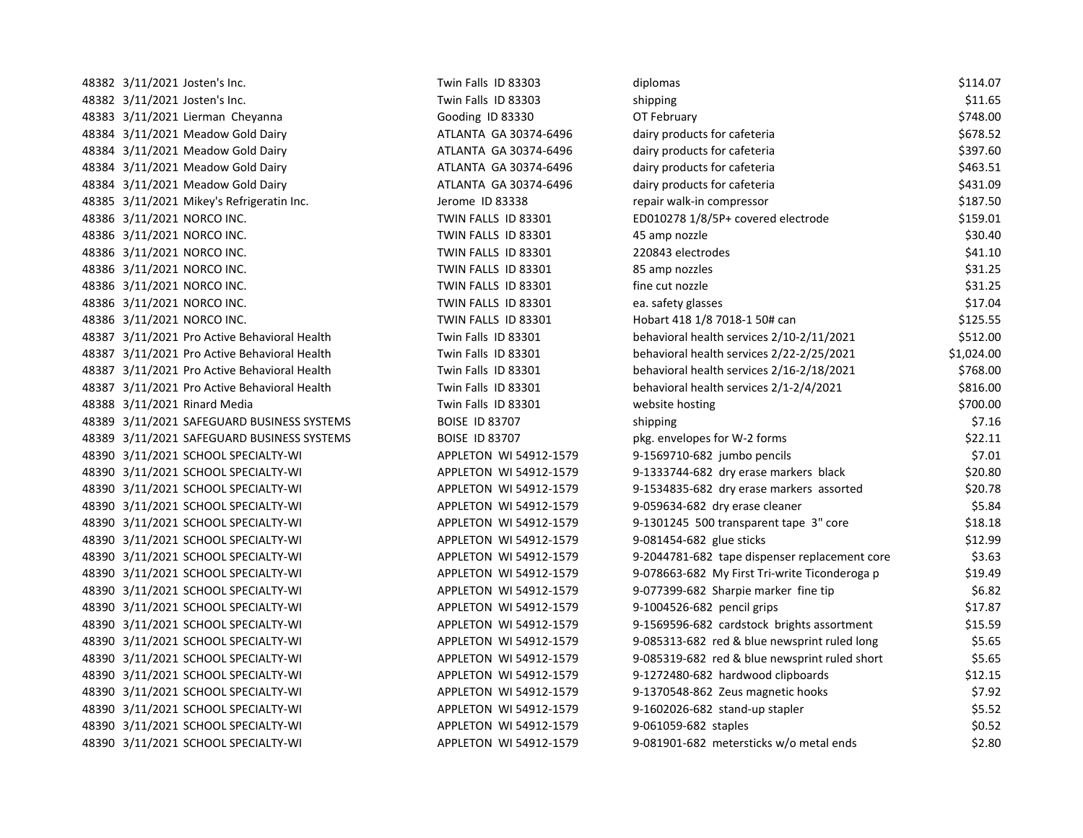| 48382 3/11/2021 Josten's Inc.                | Twin Falls ID 83303    | diplomas                                      | \$114.07   |
|----------------------------------------------|------------------------|-----------------------------------------------|------------|
| 48382 3/11/2021 Josten's Inc.                | Twin Falls ID 83303    | shipping                                      | \$11.65    |
| 48383 3/11/2021 Lierman Cheyanna             | Gooding ID 83330       | OT February                                   | \$748.00   |
| 48384 3/11/2021 Meadow Gold Dairy            | ATLANTA GA 30374-6496  | dairy products for cafeteria                  | \$678.52   |
| 48384 3/11/2021 Meadow Gold Dairy            | ATLANTA GA 30374-6496  | dairy products for cafeteria                  | \$397.60   |
| 48384 3/11/2021 Meadow Gold Dairy            | ATLANTA GA 30374-6496  | dairy products for cafeteria                  | \$463.51   |
| 48384 3/11/2021 Meadow Gold Dairy            | ATLANTA GA 30374-6496  | dairy products for cafeteria                  | \$431.09   |
| 48385 3/11/2021 Mikey's Refrigeratin Inc.    | Jerome ID 83338        | repair walk-in compressor                     | \$187.50   |
| 48386 3/11/2021 NORCO INC.                   | TWIN FALLS ID 83301    | ED010278 1/8/5P+ covered electrode            | \$159.01   |
| 48386 3/11/2021 NORCO INC.                   | TWIN FALLS ID 83301    | 45 amp nozzle                                 | \$30.40    |
| 48386 3/11/2021 NORCO INC.                   | TWIN FALLS ID 83301    | 220843 electrodes                             | \$41.10    |
| 48386 3/11/2021 NORCO INC.                   | TWIN FALLS ID 83301    | 85 amp nozzles                                | \$31.25    |
| 48386 3/11/2021 NORCO INC.                   | TWIN FALLS ID 83301    | fine cut nozzle                               | \$31.25    |
| 48386 3/11/2021 NORCO INC.                   | TWIN FALLS ID 83301    | ea. safety glasses                            | \$17.04    |
| 48386 3/11/2021 NORCO INC.                   | TWIN FALLS ID 83301    | Hobart 418 1/8 7018-1 50# can                 | \$125.55   |
| 48387 3/11/2021 Pro Active Behavioral Health | Twin Falls ID 83301    | behavioral health services 2/10-2/11/2021     | \$512.00   |
| 48387 3/11/2021 Pro Active Behavioral Health | Twin Falls ID 83301    | behavioral health services 2/22-2/25/2021     | \$1,024.00 |
| 48387 3/11/2021 Pro Active Behavioral Health | Twin Falls ID 83301    | behavioral health services 2/16-2/18/2021     | \$768.00   |
| 48387 3/11/2021 Pro Active Behavioral Health | Twin Falls ID 83301    | behavioral health services 2/1-2/4/2021       | \$816.00   |
| 48388 3/11/2021 Rinard Media                 | Twin Falls ID 83301    | website hosting                               | \$700.00   |
| 48389 3/11/2021 SAFEGUARD BUSINESS SYSTEMS   | <b>BOISE ID 83707</b>  | shipping                                      | \$7.16     |
| 48389 3/11/2021 SAFEGUARD BUSINESS SYSTEMS   | <b>BOISE ID 83707</b>  | pkg. envelopes for W-2 forms                  | \$22.11    |
| 48390 3/11/2021 SCHOOL SPECIALTY-WI          | APPLETON WI 54912-1579 | 9-1569710-682 jumbo pencils                   | \$7.01     |
| 48390 3/11/2021 SCHOOL SPECIALTY-WI          | APPLETON WI 54912-1579 | 9-1333744-682 dry erase markers black         | \$20.80    |
| 48390 3/11/2021 SCHOOL SPECIALTY-WI          | APPLETON WI 54912-1579 | 9-1534835-682 dry erase markers assorted      | \$20.78    |
| 48390 3/11/2021 SCHOOL SPECIALTY-WI          | APPLETON WI 54912-1579 | 9-059634-682 dry erase cleaner                | \$5.84     |
| 48390 3/11/2021 SCHOOL SPECIALTY-WI          | APPLETON WI 54912-1579 | 9-1301245 500 transparent tape 3" core        | \$18.18    |
| 48390 3/11/2021 SCHOOL SPECIALTY-WI          | APPLETON WI 54912-1579 | 9-081454-682 glue sticks                      | \$12.99    |
| 48390 3/11/2021 SCHOOL SPECIALTY-WI          | APPLETON WI 54912-1579 | 9-2044781-682 tape dispenser replacement core | \$3.63     |
| 48390 3/11/2021 SCHOOL SPECIALTY-WI          | APPLETON WI 54912-1579 | 9-078663-682 My First Tri-write Ticonderoga p | \$19.49    |
| 48390 3/11/2021 SCHOOL SPECIALTY-WI          | APPLETON WI 54912-1579 | 9-077399-682 Sharpie marker fine tip          | \$6.82     |
| 48390 3/11/2021 SCHOOL SPECIALTY-WI          | APPLETON WI 54912-1579 | 9-1004526-682 pencil grips                    | \$17.87    |
| 48390 3/11/2021 SCHOOL SPECIALTY-WI          | APPLETON WI 54912-1579 | 9-1569596-682 cardstock brights assortment    | \$15.59    |
| 48390 3/11/2021 SCHOOL SPECIALTY-WI          | APPLETON WI 54912-1579 | 9-085313-682 red & blue newsprint ruled long  | \$5.65     |
| 48390 3/11/2021 SCHOOL SPECIALTY-WI          | APPLETON WI 54912-1579 | 9-085319-682 red & blue newsprint ruled short | \$5.65     |
| 48390 3/11/2021 SCHOOL SPECIALTY-WI          | APPLETON WI 54912-1579 | 9-1272480-682 hardwood clipboards             | \$12.15    |
| 48390 3/11/2021 SCHOOL SPECIALTY-WI          | APPLETON WI 54912-1579 | 9-1370548-862 Zeus magnetic hooks             | \$7.92     |
| 48390 3/11/2021 SCHOOL SPECIALTY-WI          | APPLETON WI 54912-1579 | 9-1602026-682 stand-up stapler                | \$5.52     |
| 48390 3/11/2021 SCHOOL SPECIALTY-WI          | APPLETON WI 54912-1579 | 9-061059-682 staples                          | \$0.52     |
| 48390 3/11/2021 SCHOOL SPECIALTY-WI          | APPLETON WI 54912-1579 | 9-081901-682 metersticks w/o metal ends       | \$2.80     |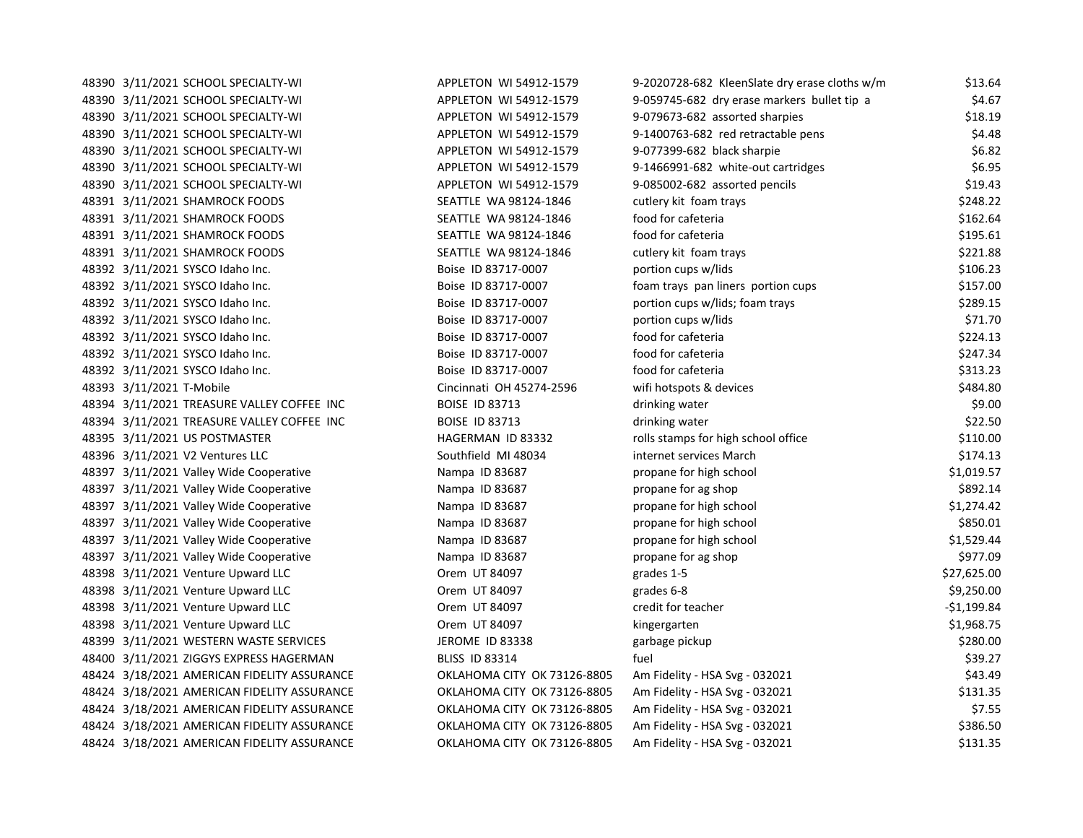| 48390 3/11/2021 SCHOOL SPECIALTY-WI         | APPLETON WI 54912-1579      | 9-2020728-682 KleenSlate dry erase cloths w/m | \$13.64      |
|---------------------------------------------|-----------------------------|-----------------------------------------------|--------------|
| 48390 3/11/2021 SCHOOL SPECIALTY-WI         | APPLETON WI 54912-1579      | 9-059745-682 dry erase markers bullet tip a   | \$4.67       |
| 48390 3/11/2021 SCHOOL SPECIALTY-WI         | APPLETON WI 54912-1579      | 9-079673-682 assorted sharpies                | \$18.19      |
| 48390 3/11/2021 SCHOOL SPECIALTY-WI         | APPLETON WI 54912-1579      | 9-1400763-682 red retractable pens            | \$4.48       |
| 48390 3/11/2021 SCHOOL SPECIALTY-WI         | APPLETON WI 54912-1579      | 9-077399-682 black sharpie                    | \$6.82       |
| 48390 3/11/2021 SCHOOL SPECIALTY-WI         | APPLETON WI 54912-1579      | 9-1466991-682 white-out cartridges            | \$6.95       |
| 48390 3/11/2021 SCHOOL SPECIALTY-WI         | APPLETON WI 54912-1579      | 9-085002-682 assorted pencils                 | \$19.43      |
| 48391 3/11/2021 SHAMROCK FOODS              | SEATTLE WA 98124-1846       | cutlery kit foam trays                        | \$248.22     |
| 48391 3/11/2021 SHAMROCK FOODS              | SEATTLE WA 98124-1846       | food for cafeteria                            | \$162.64     |
| 48391 3/11/2021 SHAMROCK FOODS              | SEATTLE WA 98124-1846       | food for cafeteria                            | \$195.61     |
| 48391 3/11/2021 SHAMROCK FOODS              | SEATTLE WA 98124-1846       | cutlery kit foam trays                        | \$221.88     |
| 48392 3/11/2021 SYSCO Idaho Inc.            | Boise ID 83717-0007         | portion cups w/lids                           | \$106.23     |
| 48392 3/11/2021 SYSCO Idaho Inc.            | Boise ID 83717-0007         | foam trays pan liners portion cups            | \$157.00     |
| 48392 3/11/2021 SYSCO Idaho Inc.            | Boise ID 83717-0007         | portion cups w/lids; foam trays               | \$289.15     |
| 48392 3/11/2021 SYSCO Idaho Inc.            | Boise ID 83717-0007         | portion cups w/lids                           | \$71.70      |
| 48392 3/11/2021 SYSCO Idaho Inc.            | Boise ID 83717-0007         | food for cafeteria                            | \$224.13     |
| 48392 3/11/2021 SYSCO Idaho Inc.            | Boise ID 83717-0007         | food for cafeteria                            | \$247.34     |
| 48392 3/11/2021 SYSCO Idaho Inc.            | Boise ID 83717-0007         | food for cafeteria                            | \$313.23     |
| 48393 3/11/2021 T-Mobile                    | Cincinnati OH 45274-2596    | wifi hotspots & devices                       | \$484.80     |
| 48394 3/11/2021 TREASURE VALLEY COFFEE INC  | <b>BOISE ID 83713</b>       | drinking water                                | \$9.00       |
| 48394 3/11/2021 TREASURE VALLEY COFFEE INC  | <b>BOISE ID 83713</b>       | drinking water                                | \$22.50      |
| 48395 3/11/2021 US POSTMASTER               | HAGERMAN ID 83332           | rolls stamps for high school office           | \$110.00     |
| 48396 3/11/2021 V2 Ventures LLC             | Southfield MI 48034         | internet services March                       | \$174.13     |
| 48397 3/11/2021 Valley Wide Cooperative     | Nampa ID 83687              | propane for high school                       | \$1,019.57   |
| 48397 3/11/2021 Valley Wide Cooperative     | Nampa ID 83687              | propane for ag shop                           | \$892.14     |
| 48397 3/11/2021 Valley Wide Cooperative     | Nampa ID 83687              | propane for high school                       | \$1,274.42   |
| 48397 3/11/2021 Valley Wide Cooperative     | Nampa ID 83687              | propane for high school                       | \$850.01     |
| 48397 3/11/2021 Valley Wide Cooperative     | Nampa ID 83687              | propane for high school                       | \$1,529.44   |
| 48397 3/11/2021 Valley Wide Cooperative     | Nampa ID 83687              | propane for ag shop                           | \$977.09     |
| 48398 3/11/2021 Venture Upward LLC          | Orem UT 84097               | grades 1-5                                    | \$27,625.00  |
| 48398 3/11/2021 Venture Upward LLC          | Orem UT 84097               | grades 6-8                                    | \$9,250.00   |
| 48398 3/11/2021 Venture Upward LLC          | Orem UT 84097               | credit for teacher                            | $-$1,199.84$ |
| 48398 3/11/2021 Venture Upward LLC          | Orem UT 84097               | kingergarten                                  | \$1,968.75   |
| 48399 3/11/2021 WESTERN WASTE SERVICES      | JEROME ID 83338             | garbage pickup                                | \$280.00     |
| 48400 3/11/2021 ZIGGYS EXPRESS HAGERMAN     | <b>BLISS ID 83314</b>       | fuel                                          | \$39.27      |
| 48424 3/18/2021 AMERICAN FIDELITY ASSURANCE | OKLAHOMA CITY OK 73126-8805 | Am Fidelity - HSA Svg - 032021                | \$43.49      |
| 48424 3/18/2021 AMERICAN FIDELITY ASSURANCE | OKLAHOMA CITY OK 73126-8805 | Am Fidelity - HSA Svg - 032021                | \$131.35     |
| 48424 3/18/2021 AMERICAN FIDELITY ASSURANCE | OKLAHOMA CITY OK 73126-8805 | Am Fidelity - HSA Svg - 032021                | \$7.55       |
| 48424 3/18/2021 AMERICAN FIDELITY ASSURANCE | OKLAHOMA CITY OK 73126-8805 | Am Fidelity - HSA Svg - 032021                | \$386.50     |
| 48424 3/18/2021 AMERICAN FIDELITY ASSURANCE | OKLAHOMA CITY OK 73126-8805 | Am Fidelity - HSA Svg - 032021                | \$131.35     |
|                                             |                             |                                               |              |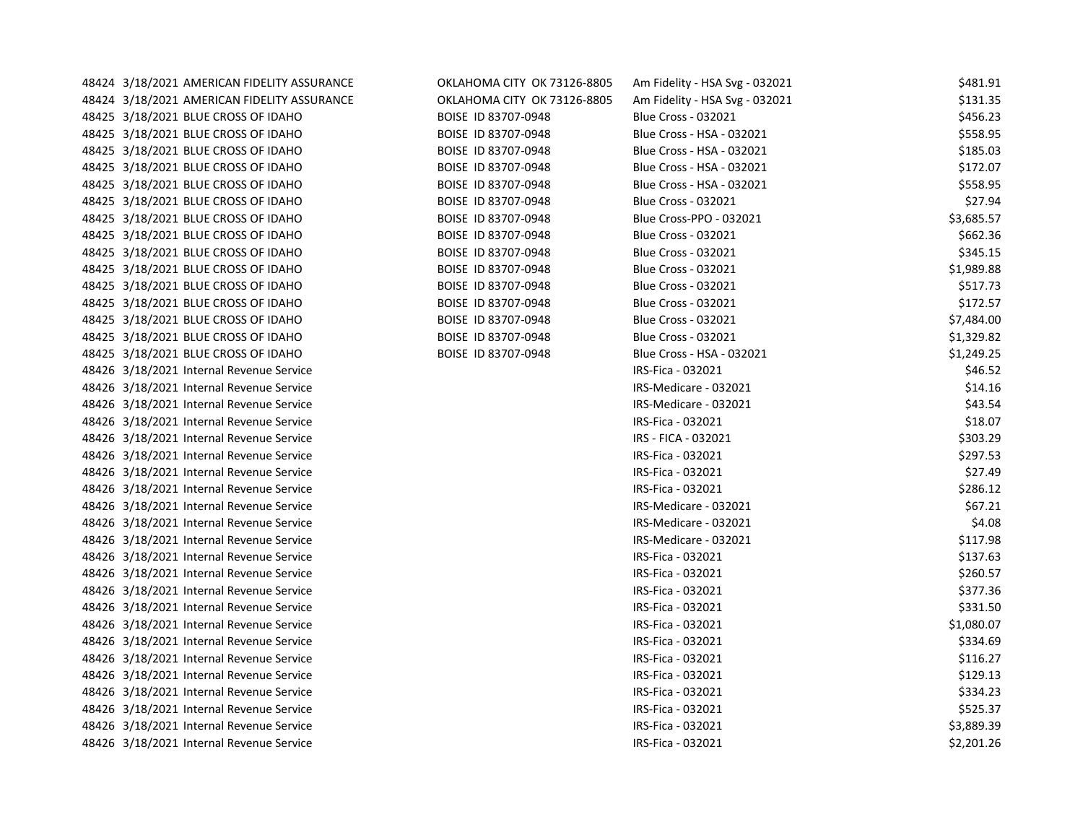| 48424 3/18/2021 AMERICAN FIDELITY ASSURANCE | OKLAHOMA CITY OK 73126-8805 | Am Fidelity - HSA Svg - 032021 | \$481.91   |
|---------------------------------------------|-----------------------------|--------------------------------|------------|
| 48424 3/18/2021 AMERICAN FIDELITY ASSURANCE | OKLAHOMA CITY OK 73126-8805 | Am Fidelity - HSA Svg - 032021 | \$131.35   |
| 48425 3/18/2021 BLUE CROSS OF IDAHO         | BOISE ID 83707-0948         | <b>Blue Cross - 032021</b>     | \$456.23   |
| 48425 3/18/2021 BLUE CROSS OF IDAHO         | BOISE ID 83707-0948         | Blue Cross - HSA - 032021      | \$558.95   |
| 48425 3/18/2021 BLUE CROSS OF IDAHO         | BOISE ID 83707-0948         | Blue Cross - HSA - 032021      | \$185.03   |
| 48425 3/18/2021 BLUE CROSS OF IDAHO         | BOISE ID 83707-0948         | Blue Cross - HSA - 032021      | \$172.07   |
| 48425 3/18/2021 BLUE CROSS OF IDAHO         | BOISE ID 83707-0948         | Blue Cross - HSA - 032021      | \$558.95   |
| 48425 3/18/2021 BLUE CROSS OF IDAHO         | BOISE ID 83707-0948         | <b>Blue Cross - 032021</b>     | \$27.94    |
| 48425 3/18/2021 BLUE CROSS OF IDAHO         | BOISE ID 83707-0948         | Blue Cross-PPO - 032021        | \$3,685.57 |
| 48425 3/18/2021 BLUE CROSS OF IDAHO         | BOISE ID 83707-0948         | <b>Blue Cross - 032021</b>     | \$662.36   |
| 48425 3/18/2021 BLUE CROSS OF IDAHO         | BOISE ID 83707-0948         | <b>Blue Cross - 032021</b>     | \$345.15   |
| 48425 3/18/2021 BLUE CROSS OF IDAHO         | BOISE ID 83707-0948         | <b>Blue Cross - 032021</b>     | \$1,989.88 |
| 48425 3/18/2021 BLUE CROSS OF IDAHO         | BOISE ID 83707-0948         | <b>Blue Cross - 032021</b>     | \$517.73   |
| 48425 3/18/2021 BLUE CROSS OF IDAHO         | BOISE ID 83707-0948         | <b>Blue Cross - 032021</b>     | \$172.57   |
| 48425 3/18/2021 BLUE CROSS OF IDAHO         | BOISE ID 83707-0948         | <b>Blue Cross - 032021</b>     | \$7,484.00 |
| 48425 3/18/2021 BLUE CROSS OF IDAHO         | BOISE ID 83707-0948         | <b>Blue Cross - 032021</b>     | \$1,329.82 |
| 48425 3/18/2021 BLUE CROSS OF IDAHO         | BOISE ID 83707-0948         | Blue Cross - HSA - 032021      | \$1,249.25 |
| 48426 3/18/2021 Internal Revenue Service    |                             | IRS-Fica - 032021              | \$46.52    |
| 48426 3/18/2021 Internal Revenue Service    |                             | IRS-Medicare - 032021          | \$14.16    |
| 48426 3/18/2021 Internal Revenue Service    |                             | IRS-Medicare - 032021          | \$43.54    |
| 48426 3/18/2021 Internal Revenue Service    |                             | IRS-Fica - 032021              | \$18.07    |
| 48426 3/18/2021 Internal Revenue Service    |                             | IRS - FICA - 032021            | \$303.29   |
| 48426 3/18/2021 Internal Revenue Service    |                             | IRS-Fica - 032021              | \$297.53   |
| 48426 3/18/2021 Internal Revenue Service    |                             | IRS-Fica - 032021              | \$27.49    |
| 48426 3/18/2021 Internal Revenue Service    |                             | IRS-Fica - 032021              | \$286.12   |
| 48426 3/18/2021 Internal Revenue Service    |                             | IRS-Medicare - 032021          | \$67.21    |
| 48426 3/18/2021 Internal Revenue Service    |                             | IRS-Medicare - 032021          | \$4.08     |
| 48426 3/18/2021 Internal Revenue Service    |                             | IRS-Medicare - 032021          | \$117.98   |
| 48426 3/18/2021 Internal Revenue Service    |                             | IRS-Fica - 032021              | \$137.63   |
| 48426 3/18/2021 Internal Revenue Service    |                             | IRS-Fica - 032021              | \$260.57   |
| 48426 3/18/2021 Internal Revenue Service    |                             | IRS-Fica - 032021              | \$377.36   |
| 48426 3/18/2021 Internal Revenue Service    |                             | IRS-Fica - 032021              | \$331.50   |
| 48426 3/18/2021 Internal Revenue Service    |                             | IRS-Fica - 032021              | \$1,080.07 |
| 48426 3/18/2021 Internal Revenue Service    |                             | IRS-Fica - 032021              | \$334.69   |
| 48426 3/18/2021 Internal Revenue Service    |                             | IRS-Fica - 032021              | \$116.27   |
| 48426 3/18/2021 Internal Revenue Service    |                             | IRS-Fica - 032021              | \$129.13   |
| 48426 3/18/2021 Internal Revenue Service    |                             | IRS-Fica - 032021              | \$334.23   |
| 48426 3/18/2021 Internal Revenue Service    |                             | IRS-Fica - 032021              | \$525.37   |
| 48426 3/18/2021 Internal Revenue Service    |                             | IRS-Fica - 032021              | \$3,889.39 |
| 48426 3/18/2021 Internal Revenue Service    |                             | IRS-Fica - 032021              | \$2,201.26 |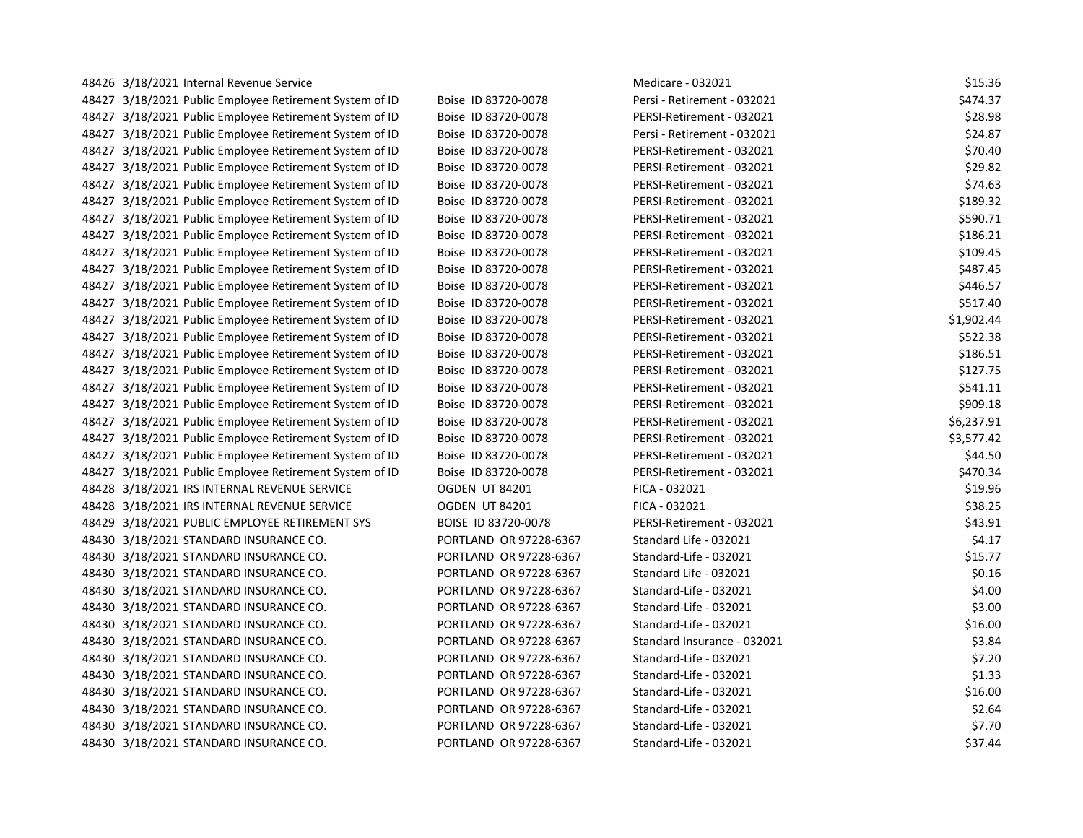| 48426 3/18/2021 Internal Revenue Service                |                        | Medicare - 032021           | \$15.36    |
|---------------------------------------------------------|------------------------|-----------------------------|------------|
| 48427 3/18/2021 Public Employee Retirement System of ID | Boise ID 83720-0078    | Persi - Retirement - 032021 | \$474.37   |
| 48427 3/18/2021 Public Employee Retirement System of ID | Boise ID 83720-0078    | PERSI-Retirement - 032021   | \$28.98    |
| 48427 3/18/2021 Public Employee Retirement System of ID | Boise ID 83720-0078    | Persi - Retirement - 032021 | \$24.87    |
| 48427 3/18/2021 Public Employee Retirement System of ID | Boise ID 83720-0078    | PERSI-Retirement - 032021   | \$70.40    |
| 48427 3/18/2021 Public Employee Retirement System of ID | Boise ID 83720-0078    | PERSI-Retirement - 032021   | \$29.82    |
| 48427 3/18/2021 Public Employee Retirement System of ID | Boise ID 83720-0078    | PERSI-Retirement - 032021   | \$74.63    |
| 48427 3/18/2021 Public Employee Retirement System of ID | Boise ID 83720-0078    | PERSI-Retirement - 032021   | \$189.32   |
| 48427 3/18/2021 Public Employee Retirement System of ID | Boise ID 83720-0078    | PERSI-Retirement - 032021   | \$590.71   |
| 48427 3/18/2021 Public Employee Retirement System of ID | Boise ID 83720-0078    | PERSI-Retirement - 032021   | \$186.21   |
| 48427 3/18/2021 Public Employee Retirement System of ID | Boise ID 83720-0078    | PERSI-Retirement - 032021   | \$109.45   |
| 48427 3/18/2021 Public Employee Retirement System of ID | Boise ID 83720-0078    | PERSI-Retirement - 032021   | \$487.45   |
| 48427 3/18/2021 Public Employee Retirement System of ID | Boise ID 83720-0078    | PERSI-Retirement - 032021   | \$446.57   |
| 48427 3/18/2021 Public Employee Retirement System of ID | Boise ID 83720-0078    | PERSI-Retirement - 032021   | \$517.40   |
| 48427 3/18/2021 Public Employee Retirement System of ID | Boise ID 83720-0078    | PERSI-Retirement - 032021   | \$1,902.44 |
| 48427 3/18/2021 Public Employee Retirement System of ID | Boise ID 83720-0078    | PERSI-Retirement - 032021   | \$522.38   |
| 48427 3/18/2021 Public Employee Retirement System of ID | Boise ID 83720-0078    | PERSI-Retirement - 032021   | \$186.51   |
| 48427 3/18/2021 Public Employee Retirement System of ID | Boise ID 83720-0078    | PERSI-Retirement - 032021   | \$127.75   |
| 48427 3/18/2021 Public Employee Retirement System of ID | Boise ID 83720-0078    | PERSI-Retirement - 032021   | \$541.11   |
| 48427 3/18/2021 Public Employee Retirement System of ID | Boise ID 83720-0078    | PERSI-Retirement - 032021   | \$909.18   |
| 48427 3/18/2021 Public Employee Retirement System of ID | Boise ID 83720-0078    | PERSI-Retirement - 032021   | \$6,237.91 |
| 48427 3/18/2021 Public Employee Retirement System of ID | Boise ID 83720-0078    | PERSI-Retirement - 032021   | \$3,577.42 |
| 48427 3/18/2021 Public Employee Retirement System of ID | Boise ID 83720-0078    | PERSI-Retirement - 032021   | \$44.50    |
| 48427 3/18/2021 Public Employee Retirement System of ID | Boise ID 83720-0078    | PERSI-Retirement - 032021   | \$470.34   |
| 48428 3/18/2021 IRS INTERNAL REVENUE SERVICE            | <b>OGDEN UT 84201</b>  | FICA - 032021               | \$19.96    |
| 48428 3/18/2021 IRS INTERNAL REVENUE SERVICE            | OGDEN UT 84201         | FICA - 032021               | \$38.25    |
| 48429 3/18/2021 PUBLIC EMPLOYEE RETIREMENT SYS          | BOISE ID 83720-0078    | PERSI-Retirement - 032021   | \$43.91    |
| 48430 3/18/2021 STANDARD INSURANCE CO.                  | PORTLAND OR 97228-6367 | Standard Life - 032021      | \$4.17     |
| 48430 3/18/2021 STANDARD INSURANCE CO.                  | PORTLAND OR 97228-6367 | Standard-Life - 032021      | \$15.77    |
| 48430 3/18/2021 STANDARD INSURANCE CO.                  | PORTLAND OR 97228-6367 | Standard Life - 032021      | \$0.16     |
| 48430 3/18/2021 STANDARD INSURANCE CO.                  | PORTLAND OR 97228-6367 | Standard-Life - 032021      | \$4.00     |
| 48430 3/18/2021 STANDARD INSURANCE CO.                  | PORTLAND OR 97228-6367 | Standard-Life - 032021      | \$3.00     |
| 48430 3/18/2021 STANDARD INSURANCE CO.                  | PORTLAND OR 97228-6367 | Standard-Life - 032021      | \$16.00    |
| 48430 3/18/2021 STANDARD INSURANCE CO.                  | PORTLAND OR 97228-6367 | Standard Insurance - 032021 | \$3.84     |
| 48430 3/18/2021 STANDARD INSURANCE CO.                  | PORTLAND OR 97228-6367 | Standard-Life - 032021      | \$7.20     |
| 48430 3/18/2021 STANDARD INSURANCE CO.                  | PORTLAND OR 97228-6367 | Standard-Life - 032021      | \$1.33     |
| 48430 3/18/2021 STANDARD INSURANCE CO.                  | PORTLAND OR 97228-6367 | Standard-Life - 032021      | \$16.00    |
| 48430 3/18/2021 STANDARD INSURANCE CO.                  | PORTLAND OR 97228-6367 | Standard-Life - 032021      | \$2.64     |
| 48430 3/18/2021 STANDARD INSURANCE CO.                  | PORTLAND OR 97228-6367 | Standard-Life - 032021      | \$7.70     |
| 48430 3/18/2021 STANDARD INSURANCE CO.                  | PORTLAND OR 97228-6367 | Standard-Life - 032021      | \$37.44    |